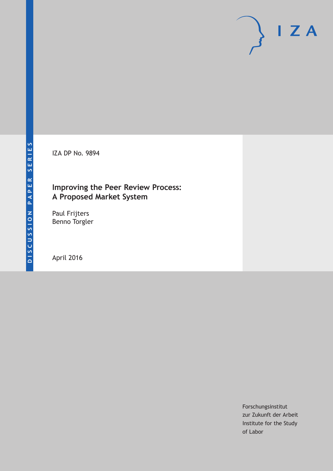IZA DP No. 9894

### **Improving the Peer Review Process: A Proposed Market System**

Paul Frijters Benno Torgler

April 2016

Forschungsinstitut zur Zukunft der Arbeit Institute for the Study of Labor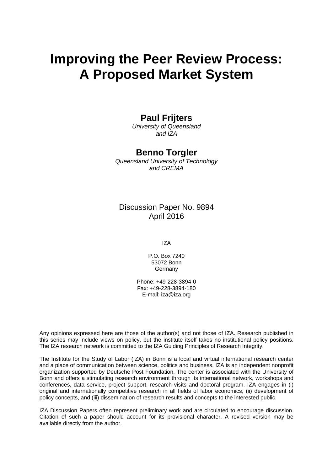# **Improving the Peer Review Process: A Proposed Market System**

#### **Paul Frijters**

*University of Queensland and IZA* 

#### **Benno Torgler**

*Queensland University of Technology and CREMA* 

Discussion Paper No. 9894 April 2016

IZA

P.O. Box 7240 53072 Bonn **Germany** 

Phone: +49-228-3894-0 Fax: +49-228-3894-180 E-mail: iza@iza.org

Any opinions expressed here are those of the author(s) and not those of IZA. Research published in this series may include views on policy, but the institute itself takes no institutional policy positions. The IZA research network is committed to the IZA Guiding Principles of Research Integrity.

The Institute for the Study of Labor (IZA) in Bonn is a local and virtual international research center and a place of communication between science, politics and business. IZA is an independent nonprofit organization supported by Deutsche Post Foundation. The center is associated with the University of Bonn and offers a stimulating research environment through its international network, workshops and conferences, data service, project support, research visits and doctoral program. IZA engages in (i) original and internationally competitive research in all fields of labor economics, (ii) development of policy concepts, and (iii) dissemination of research results and concepts to the interested public.

IZA Discussion Papers often represent preliminary work and are circulated to encourage discussion. Citation of such a paper should account for its provisional character. A revised version may be available directly from the author.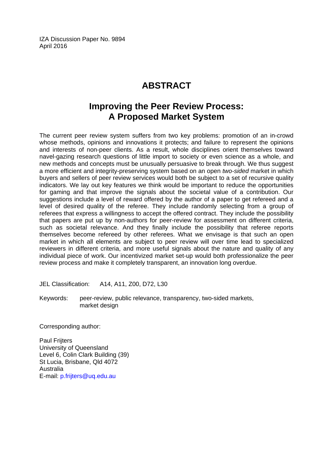IZA Discussion Paper No. 9894 April 2016

# **ABSTRACT**

## **Improving the Peer Review Process: A Proposed Market System**

The current peer review system suffers from two key problems: promotion of an in-crowd whose methods, opinions and innovations it protects; and failure to represent the opinions and interests of non-peer clients. As a result, whole disciplines orient themselves toward navel-gazing research questions of little import to society or even science as a whole, and new methods and concepts must be unusually persuasive to break through. We thus suggest a more efficient and integrity-preserving system based on an open *two-sided* market in which buyers and sellers of peer review services would both be subject to a set of recursive quality indicators. We lay out key features we think would be important to reduce the opportunities for gaming and that improve the signals about the societal value of a contribution. Our suggestions include a level of reward offered by the author of a paper to get refereed and a level of desired quality of the referee. They include randomly selecting from a group of referees that express a willingness to accept the offered contract. They include the possibility that papers are put up by non-authors for peer-review for assessment on different criteria, such as societal relevance. And they finally include the possibility that referee reports themselves become refereed by other referees. What we envisage is that such an open market in which all elements are subject to peer review will over time lead to specialized reviewers in different criteria, and more useful signals about the nature and quality of any individual piece of work. Our incentivized market set-up would both professionalize the peer review process and make it completely transparent, an innovation long overdue.

JEL Classification: A14, A11, Z00, D72, L30

Keywords: peer-review, public relevance, transparency, two-sided markets, market design

Corresponding author:

Paul Frijters University of Queensland Level 6, Colin Clark Building (39) St Lucia, Brisbane, Qld 4072 Australia E-mail: p.frijters@uq.edu.au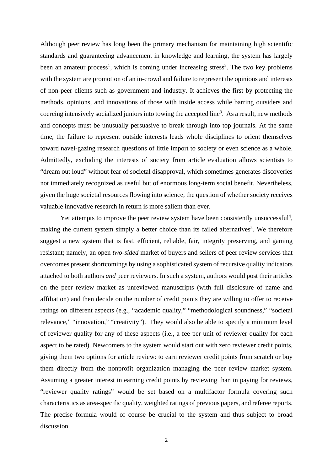Although peer review has long been the primary mechanism for maintaining high scientific standards and guaranteeing advancement in knowledge and learning, the system has largely been an amateur process<sup>1</sup>, which is coming under increasing stress<sup>2</sup>. The two key problems with the system are promotion of an in-crowd and failure to represent the opinions and interests of non-peer clients such as government and industry. It achieves the first by protecting the methods, opinions, and innovations of those with inside access while barring outsiders and coercing intensively socialized juniors into towing the accepted line<sup>3</sup>. As a result, new methods and concepts must be unusually persuasive to break through into top journals. At the same time, the failure to represent outside interests leads whole disciplines to orient themselves toward navel-gazing research questions of little import to society or even science as a whole. Admittedly, excluding the interests of society from article evaluation allows scientists to "dream out loud" without fear of societal disapproval, which sometimes generates discoveries not immediately recognized as useful but of enormous long-term social benefit. Nevertheless, given the huge societal resources flowing into science, the question of whether society receives valuable innovative research in return is more salient than ever.

Yet attempts to improve the peer review system have been consistently unsuccessful $4$ , making the current system simply a better choice than its failed alternatives<sup>5</sup>. We therefore suggest a new system that is fast, efficient, reliable, fair, integrity preserving, and gaming resistant; namely, an open *two-sided* market of buyers and sellers of peer review services that overcomes present shortcomings by using a sophisticated system of recursive quality indicators attached to both authors *and* peer reviewers. In such a system, authors would post their articles on the peer review market as unreviewed manuscripts (with full disclosure of name and affiliation) and then decide on the number of credit points they are willing to offer to receive ratings on different aspects (e.g., "academic quality," "methodological soundness," "societal relevance," "innovation," "creativity"). They would also be able to specify a minimum level of reviewer quality for any of these aspects (i.e., a fee per unit of reviewer quality for each aspect to be rated). Newcomers to the system would start out with zero reviewer credit points, giving them two options for article review: to earn reviewer credit points from scratch or buy them directly from the nonprofit organization managing the peer review market system. Assuming a greater interest in earning credit points by reviewing than in paying for reviews, "reviewer quality ratings" would be set based on a multifactor formula covering such characteristics as area-specific quality, weighted ratings of previous papers, and referee reports. The precise formula would of course be crucial to the system and thus subject to broad discussion.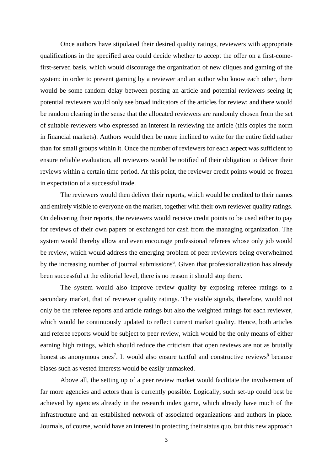Once authors have stipulated their desired quality ratings, reviewers with appropriate qualifications in the specified area could decide whether to accept the offer on a first-comefirst-served basis, which would discourage the organization of new cliques and gaming of the system: in order to prevent gaming by a reviewer and an author who know each other, there would be some random delay between posting an article and potential reviewers seeing it; potential reviewers would only see broad indicators of the articles for review; and there would be random clearing in the sense that the allocated reviewers are randomly chosen from the set of suitable reviewers who expressed an interest in reviewing the article (this copies the norm in financial markets). Authors would then be more inclined to write for the entire field rather than for small groups within it. Once the number of reviewers for each aspect was sufficient to ensure reliable evaluation, all reviewers would be notified of their obligation to deliver their reviews within a certain time period. At this point, the reviewer credit points would be frozen in expectation of a successful trade.

The reviewers would then deliver their reports, which would be credited to their names and entirely visible to everyone on the market, together with their own reviewer quality ratings. On delivering their reports, the reviewers would receive credit points to be used either to pay for reviews of their own papers or exchanged for cash from the managing organization. The system would thereby allow and even encourage professional referees whose only job would be review, which would address the emerging problem of peer reviewers being overwhelmed by the increasing number of journal submissions<sup>6</sup>. Given that professionalization has already been successful at the editorial level, there is no reason it should stop there.

The system would also improve review quality by exposing referee ratings to a secondary market, that of reviewer quality ratings. The visible signals, therefore, would not only be the referee reports and article ratings but also the weighted ratings for each reviewer, which would be continuously updated to reflect current market quality. Hence, both articles and referee reports would be subject to peer review, which would be the only means of either earning high ratings, which should reduce the criticism that open reviews are not as brutally honest as anonymous ones<sup>7</sup>. It would also ensure tactful and constructive reviews<sup>8</sup> because biases such as vested interests would be easily unmasked.

Above all, the setting up of a peer review market would facilitate the involvement of far more agencies and actors than is currently possible. Logically, such set-up could best be achieved by agencies already in the research index game, which already have much of the infrastructure and an established network of associated organizations and authors in place. Journals, of course, would have an interest in protecting their status quo, but this new approach